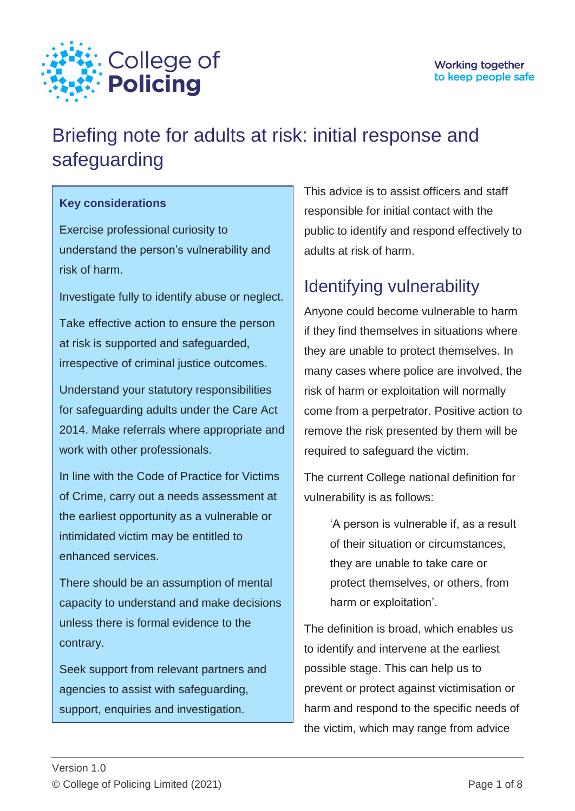

# Briefing note for adults at risk: initial response and safeguarding

#### **Key considerations**

Exercise professional curiosity to understand the person's vulnerability and risk of harm.

Investigate fully to identify abuse or neglect.

Take effective action to ensure the person at risk is supported and safeguarded, irrespective of criminal justice outcomes.

Understand your statutory responsibilities for safeguarding adults under the Care Act 2014. Make referrals where appropriate and work with other professionals.

In line with the Code of Practice for Victims of Crime, carry out a needs assessment at the earliest opportunity as a vulnerable or intimidated victim may be entitled to enhanced services.

There should be an assumption of mental capacity to understand and make decisions unless there is formal evidence to the contrary.

Seek support from relevant partners and agencies to assist with safeguarding, support, enquiries and investigation.

This advice is to assist officers and staff responsible for initial contact with the public to identify and respond effectively to adults at risk of harm.

# Identifying vulnerability

Anyone could become vulnerable to harm if they find themselves in situations where they are unable to protect themselves. In many cases where police are involved, the risk of harm or exploitation will normally come from a perpetrator. Positive action to remove the risk presented by them will be required to safeguard the victim.

The current College national definition for vulnerability is as follows:

> 'A person is vulnerable if, as a result of their situation or circumstances, they are unable to take care or protect themselves, or others, from harm or exploitation'.

The definition is broad, which enables us to identify and intervene at the earliest possible stage. This can help us to prevent or protect against victimisation or harm and respond to the specific needs of the victim, which may range from advice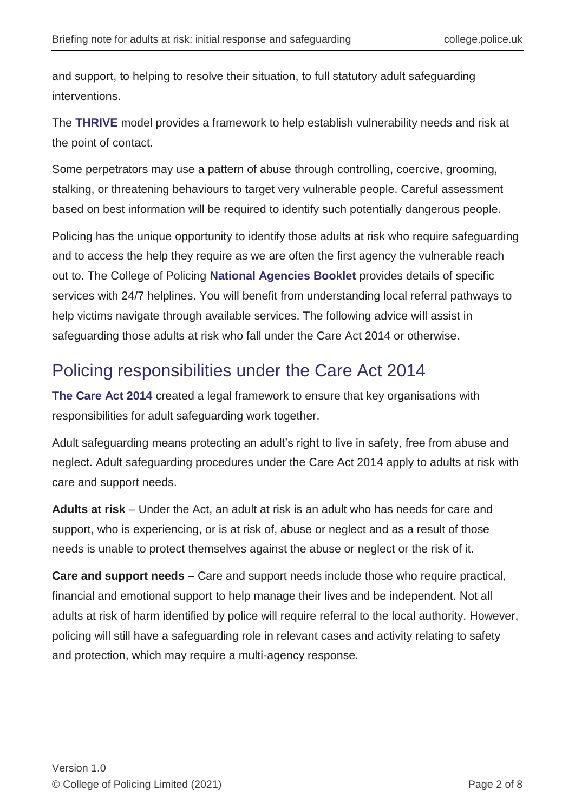and support, to helping to resolve their situation, to full statutory adult safeguarding interventions.

The **THRIVE** model provides a framework to help establish vulnerability needs and risk at the point of contact.

Some perpetrators may use a pattern of abuse through controlling, coercive, grooming, stalking, or threatening behaviours to target very vulnerable people. Careful assessment based on best information will be required to identify such potentially dangerous people.

Policing has the unique opportunity to identify those adults at risk who require safeguarding and to access the help they require as we are often the first agency the vulnerable reach out to. The College of Policing **[National Agencies Booklet](https://www.mle.ncalt.pnn.police.uk/CourseContent/37444/Public%20Protection%20National%20Agencies.pdf)** provides details of specific services with 24/7 helplines. You will benefit from understanding local referral pathways to help victims navigate through available services. The following advice will assist in safeguarding those adults at risk who fall under the Care Act 2014 or otherwise.

### Policing responsibilities under the Care Act 2014

**[The Care Act 2014](https://www.legislation.gov.uk/ukpga/2014/23/contents/enacted)** created a legal framework to ensure that key organisations with responsibilities for adult safeguarding work together.

Adult safeguarding means protecting an adult's right to live in safety, free from abuse and neglect. Adult safeguarding procedures under the Care Act 2014 apply to adults at risk with care and support needs.

**Adults at risk** – Under the Act, an adult at risk is an adult who has needs for care and support, who is experiencing, or is at risk of, abuse or neglect and as a result of those needs is unable to protect themselves against the abuse or neglect or the risk of it.

**Care and support needs** – Care and support needs include those who require practical, financial and emotional support to help manage their lives and be independent. Not all adults at risk of harm identified by police will require referral to the local authority. However, policing will still have a safeguarding role in relevant cases and activity relating to safety and protection, which may require a multi-agency response.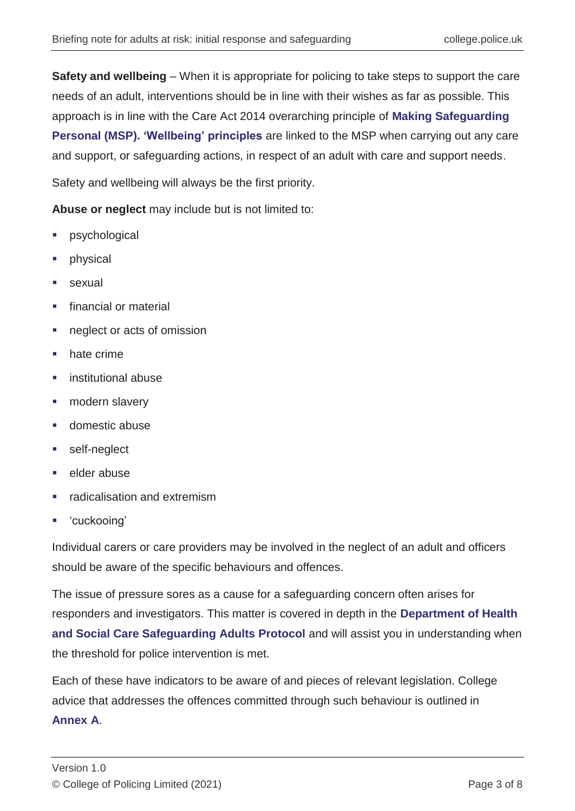**Safety and wellbeing** – When it is appropriate for policing to take steps to support the care needs of an adult, interventions should be in line with their wishes as far as possible. This approach is in line with the Care Act 2014 overarching principle of **[Making Safeguarding](https://www.local.gov.uk/sites/default/files/documents/25.29%20-%20CHIP%20Making%20Safeguarding%20Personal%3B%20What%20might%20‘good’%20look%20like%20for%20the%20Police_x3F_%20_WEB.pdf)  [Personal \(MSP\).](https://www.local.gov.uk/sites/default/files/documents/25.29%20-%20CHIP%20Making%20Safeguarding%20Personal%3B%20What%20might%20‘good’%20look%20like%20for%20the%20Police_x3F_%20_WEB.pdf) ['Wellbeing' principles](https://www.local.gov.uk/sites/default/files/documents/Practice_Tool_5-six_core_principles%20WEB.pdf)** are linked to the MSP when carrying out any care and support, or safeguarding actions, in respect of an adult with care and support needs.

Safety and wellbeing will always be the first priority.

**Abuse or neglect** may include but is not limited to:

- psychological
- physical
- sexual
- financial or material
- neglect or acts of omission
- hate crime
- institutional abuse
- modern slavery
- domestic abuse
- self-neglect
- elder abuse
- radicalisation and extremism
- 'cuckooing'

Individual carers or care providers may be involved in the neglect of an adult and officers should be aware of the specific behaviours and offences.

The issue of pressure sores as a cause for a safeguarding concern often arises for responders and investigators. This matter is covered in depth in the **[Department of Health](https://assets.publishing.service.gov.uk/government/uploads/system/uploads/attachment_data/file/756243/safeguarding-adults-protocol-pressure-ulcers.pdf)  [and Social Care Safeguarding Adults Protocol](https://assets.publishing.service.gov.uk/government/uploads/system/uploads/attachment_data/file/756243/safeguarding-adults-protocol-pressure-ulcers.pdf)** and will assist you in understanding when the threshold for police intervention is met.

Each of these have indicators to be aware of and pieces of relevant legislation. College advice that addresses the offences committed through such behaviour is outlined in **[Annex](https://library.college.police.uk/docs/college-of-policing/Adults-At-Risk-Annexes-2021.pdf) A**.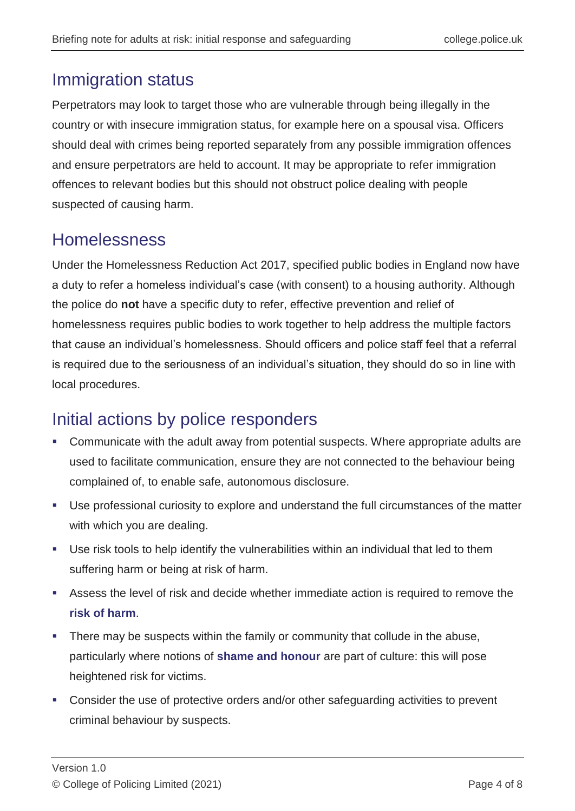#### Immigration status

Perpetrators may look to target those who are vulnerable through being illegally in the country or with insecure immigration status, for example here on a spousal visa. Officers should deal with crimes being reported separately from any possible immigration offences and ensure perpetrators are held to account. It may be appropriate to refer immigration offences to relevant bodies but this should not obstruct police dealing with people suspected of causing harm.

#### Homelessness

Under the Homelessness Reduction Act 2017, specified public bodies in England now have a duty to refer a homeless individual's case (with consent) to a housing authority. Although the police do **not** have a specific duty to refer, effective prevention and relief of homelessness requires public bodies to work together to help address the multiple factors that cause an individual's homelessness. Should officers and police staff feel that a referral is required due to the seriousness of an individual's situation, they should do so in line with local procedures.

### Initial actions by police responders

- Communicate with the adult away from potential suspects. Where appropriate adults are used to facilitate communication, ensure they are not connected to the behaviour being complained of, to enable safe, autonomous disclosure.
- Use professional curiosity to explore and understand the full circumstances of the matter with which you are dealing.
- Use risk tools to help identify the vulnerabilities within an individual that led to them suffering harm or being at risk of harm.
- Assess the level of risk and decide whether immediate action is required to remove the **[risk of harm](https://www.app.college.police.uk/app-content/risk-2/?s=)**.
- There may be suspects within the family or community that collude in the abuse, particularly where notions of **[shame and honour](https://www.app.college.police.uk/app-content/major-investigation-and-public-protection/forced-marriage-and-honour-based-violence/)** are part of culture: this will pose heightened risk for victims.
- Consider the use of protective orders and/or other safeguarding activities to prevent criminal behaviour by suspects.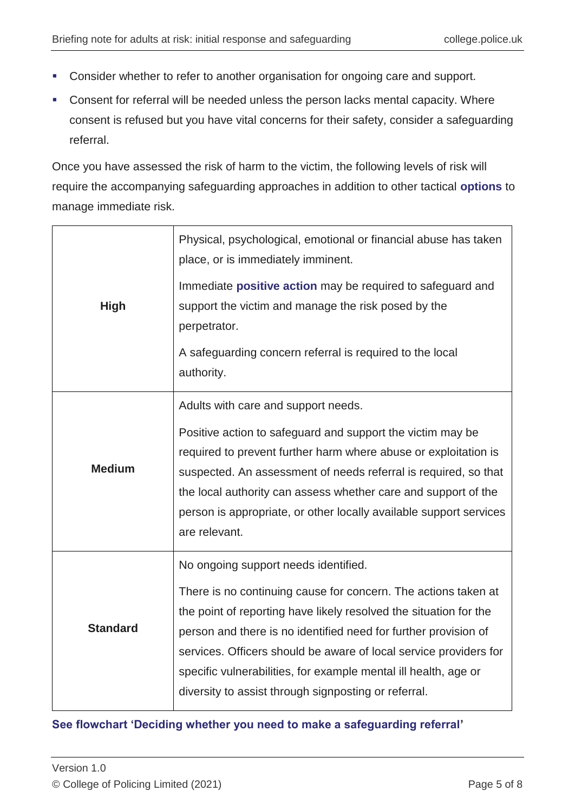- **Consider whether to refer to another organisation for ongoing care and support.**
- Consent for referral will be needed unless the person lacks mental capacity. Where consent is refused but you have vital concerns for their safety, consider a safeguarding referral.

Once you have assessed the risk of harm to the victim, the following levels of risk will require the accompanying safeguarding approaches in addition to other tactical **[options](https://www.mle.ncalt.pnn.police.uk/CourseContent/37443/PPTMO%20-%20Public%20Protection%20Tactical%20Menu%20of%20Options.pdf)** to manage immediate risk.

| <b>High</b>     | Physical, psychological, emotional or financial abuse has taken<br>place, or is immediately imminent.<br>Immediate positive action may be required to safeguard and<br>support the victim and manage the risk posed by the<br>perpetrator.<br>A safeguarding concern referral is required to the local<br>authority.                                                                                                                           |
|-----------------|------------------------------------------------------------------------------------------------------------------------------------------------------------------------------------------------------------------------------------------------------------------------------------------------------------------------------------------------------------------------------------------------------------------------------------------------|
| <b>Medium</b>   | Adults with care and support needs.<br>Positive action to safeguard and support the victim may be<br>required to prevent further harm where abuse or exploitation is<br>suspected. An assessment of needs referral is required, so that<br>the local authority can assess whether care and support of the<br>person is appropriate, or other locally available support services<br>are relevant.                                               |
| <b>Standard</b> | No ongoing support needs identified.<br>There is no continuing cause for concern. The actions taken at<br>the point of reporting have likely resolved the situation for the<br>person and there is no identified need for further provision of<br>services. Officers should be aware of local service providers for<br>specific vulnerabilities, for example mental ill health, age or<br>diversity to assist through signposting or referral. |

#### **[See flowchart 'Deciding whether you need to make a safeguarding referral'](https://www.app.college.police.uk/wp-content/uploads/2021/03/APP_Deciding-whether-you-need-to-make-a-safeguarding-concern-referral.png)**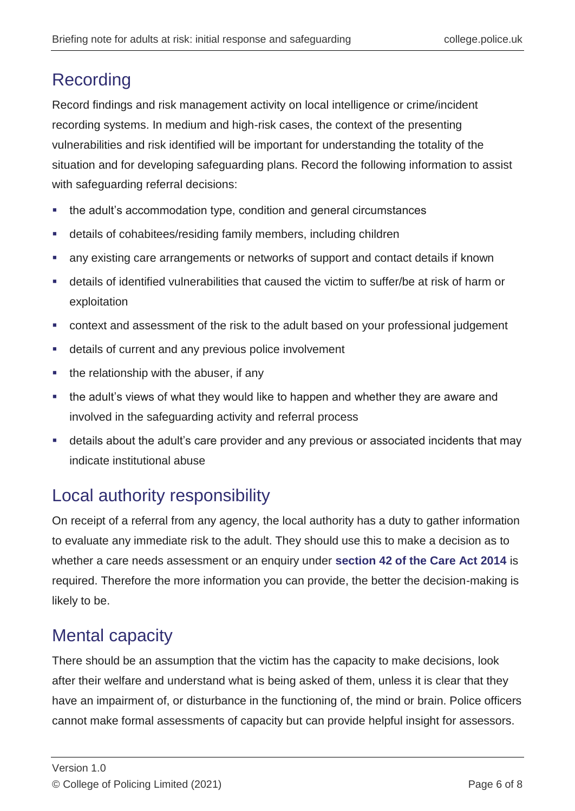# Recording

Record findings and risk management activity on local intelligence or crime/incident recording systems. In medium and high-risk cases, the context of the presenting vulnerabilities and risk identified will be important for understanding the totality of the situation and for developing safeguarding plans. Record the following information to assist with safeguarding referral decisions:

- the adult's accommodation type, condition and general circumstances
- details of cohabitees/residing family members, including children
- any existing care arrangements or networks of support and contact details if known
- details of identified vulnerabilities that caused the victim to suffer/be at risk of harm or exploitation
- context and assessment of the risk to the adult based on your professional judgement
- details of current and any previous police involvement
- the relationship with the abuser, if any
- the adult's views of what they would like to happen and whether they are aware and involved in the safeguarding activity and referral process
- details about the adult's care provider and any previous or associated incidents that may indicate institutional abuse

# Local authority responsibility

On receipt of a referral from any agency, the local authority has a duty to gather information to evaluate any immediate risk to the adult. They should use this to make a decision as to whether a care needs assessment or an enquiry under **[section 42 of the Care Act 2014](https://www.gov.uk/government/publications/care-act-2014-part-1-factsheets/care-act-factsheets)** is required. Therefore the more information you can provide, the better the decision-making is likely to be.

# Mental capacity

There should be an assumption that the victim has the capacity to make decisions, look after their welfare and understand what is being asked of them, unless it is clear that they have an impairment of, or disturbance in the functioning of, the mind or brain. Police officers cannot make formal assessments of capacity but can provide helpful insight for assessors.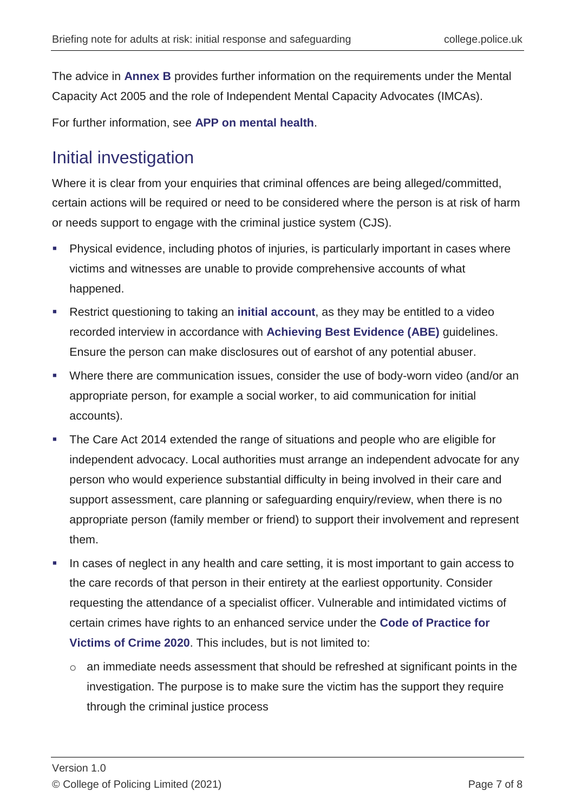The advice in **[Annex B](https://library.college.police.uk/docs/college-of-policing/Adults-At-Risk-Annexes-2021.pdf#page=18)** provides further information on the requirements under the Mental Capacity Act 2005 and the role of Independent Mental Capacity Advocates (IMCAs).

For further information, see **[APP on mental health](https://www.app.college.police.uk/app-content/mental-health/mental-capacity/?highlight=MENTAL%20CAPACITY?s=MENTAL+CAPACITY)**.

### Initial investigation

Where it is clear from your enquiries that criminal offences are being alleged/committed, certain actions will be required or need to be considered where the person is at risk of harm or needs support to engage with the criminal justice system (CJS).

- Physical evidence, including photos of injuries, is particularly important in cases where victims and witnesses are unable to provide comprehensive accounts of what happened.
- Restrict questioning to taking an **[initial account](https://www.college.police.uk/What-we-do/Standards/Guidelines/Initial-accounts/Documents/Initial_Accounts_Guidelines.pdf)**, as they may be entitled to a video recorded interview in accordance with **[Achieving Best Evidence \(ABE\)](https://www.app.college.police.uk/app-content/investigations/victims-and-witnesses/#achieving-best-evidence)** guidelines. Ensure the person can make disclosures out of earshot of any potential abuser.
- Where there are communication issues, consider the use of body-worn video (and/or an appropriate person, for example a social worker, to aid communication for initial accounts).
- The Care Act 2014 extended the range of situations and people who are eligible for independent advocacy. Local authorities must arrange an independent advocate for any person who would experience substantial difficulty in being involved in their care and support assessment, care planning or safeguarding enquiry/review, when there is no appropriate person (family member or friend) to support their involvement and represent them.
- In cases of neglect in any health and care setting, it is most important to gain access to the care records of that person in their entirety at the earliest opportunity. Consider requesting the attendance of a specialist officer. Vulnerable and intimidated victims of certain crimes have rights to an enhanced service under the **[Code of Practice for](https://www.app.college.police.uk/app-content/prosecution-and-case-management/victim-and-witness-care/?s=)  [Victims of Crime 2020](https://www.app.college.police.uk/app-content/prosecution-and-case-management/victim-and-witness-care/?s=)**. This includes, but is not limited to:
	- o an immediate needs assessment that should be refreshed at significant points in the investigation. The purpose is to make sure the victim has the support they require through the criminal justice process